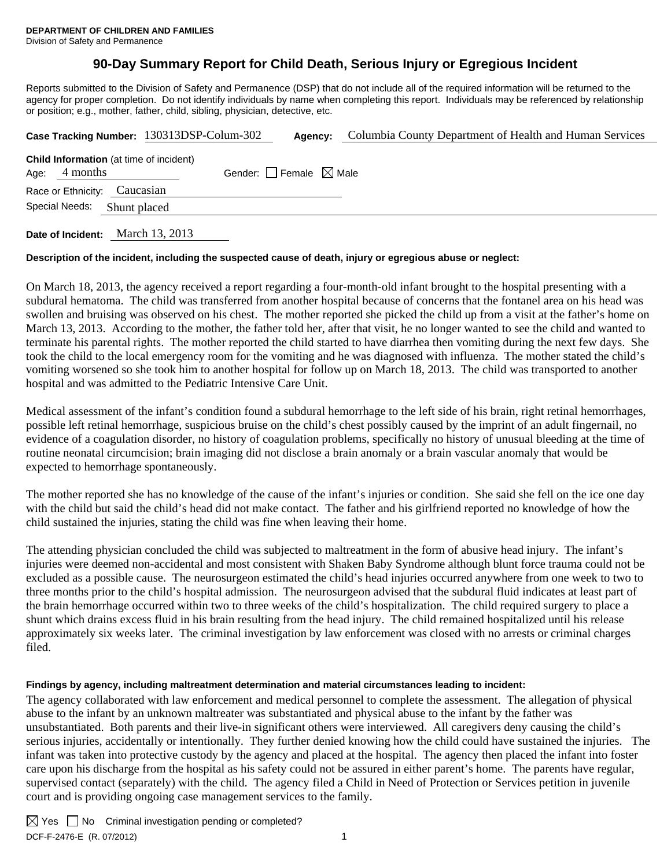# **90-Day Summary Report for Child Death, Serious Injury or Egregious Incident**

Reports submitted to the Division of Safety and Permanence (DSP) that do not include all of the required information will be returned to the agency for proper completion. Do not identify individuals by name when completing this report. Individuals may be referenced by relationship or position; e.g., mother, father, child, sibling, physician, detective, etc.

|                                                                   | Case Tracking Number: 130313DSP-Colum-302 | Agency:                         | Columbia County Department of Health and Human Services |
|-------------------------------------------------------------------|-------------------------------------------|---------------------------------|---------------------------------------------------------|
| <b>Child Information</b> (at time of incident)<br>Age: $4$ months |                                           | Gender: Female $\boxtimes$ Male |                                                         |
| Race or Ethnicity: Caucasian                                      |                                           |                                 |                                                         |
| Special Needs:                                                    | Shunt placed                              |                                 |                                                         |
|                                                                   |                                           |                                 |                                                         |

**Date of Incident:** March 13, 2013

## **Description of the incident, including the suspected cause of death, injury or egregious abuse or neglect:**

On March 18, 2013, the agency received a report regarding a four-month-old infant brought to the hospital presenting with a subdural hematoma. The child was transferred from another hospital because of concerns that the fontanel area on his head was swollen and bruising was observed on his chest. The mother reported she picked the child up from a visit at the father's home on March 13, 2013. According to the mother, the father told her, after that visit, he no longer wanted to see the child and wanted to terminate his parental rights. The mother reported the child started to have diarrhea then vomiting during the next few days. She took the child to the local emergency room for the vomiting and he was diagnosed with influenza. The mother stated the child's vomiting worsened so she took him to another hospital for follow up on March 18, 2013. The child was transported to another hospital and was admitted to the Pediatric Intensive Care Unit.

Medical assessment of the infant's condition found a subdural hemorrhage to the left side of his brain, right retinal hemorrhages, possible left retinal hemorrhage, suspicious bruise on the child's chest possibly caused by the imprint of an adult fingernail, no evidence of a coagulation disorder, no history of coagulation problems, specifically no history of unusual bleeding at the time of routine neonatal circumcision; brain imaging did not disclose a brain anomaly or a brain vascular anomaly that would be expected to hemorrhage spontaneously.

The mother reported she has no knowledge of the cause of the infant's injuries or condition. She said she fell on the ice one day with the child but said the child's head did not make contact. The father and his girlfriend reported no knowledge of how the child sustained the injuries, stating the child was fine when leaving their home.

The attending physician concluded the child was subjected to maltreatment in the form of abusive head injury. The infant's injuries were deemed non-accidental and most consistent with Shaken Baby Syndrome although blunt force trauma could not be excluded as a possible cause. The neurosurgeon estimated the child's head injuries occurred anywhere from one week to two to three months prior to the child's hospital admission. The neurosurgeon advised that the subdural fluid indicates at least part of the brain hemorrhage occurred within two to three weeks of the child's hospitalization. The child required surgery to place a shunt which drains excess fluid in his brain resulting from the head injury. The child remained hospitalized until his release approximately six weeks later. The criminal investigation by law enforcement was closed with no arrests or criminal charges filed.

## **Findings by agency, including maltreatment determination and material circumstances leading to incident:**

The agency collaborated with law enforcement and medical personnel to complete the assessment. The allegation of physical abuse to the infant by an unknown maltreater was substantiated and physical abuse to the infant by the father was unsubstantiated. Both parents and their live-in significant others were interviewed. All caregivers deny causing the child's serious injuries, accidentally or intentionally. They further denied knowing how the child could have sustained the injuries. The infant was taken into protective custody by the agency and placed at the hospital. The agency then placed the infant into foster care upon his discharge from the hospital as his safety could not be assured in either parent's home. The parents have regular, supervised contact (separately) with the child. The agency filed a Child in Need of Protection or Services petition in juvenile court and is providing ongoing case management services to the family.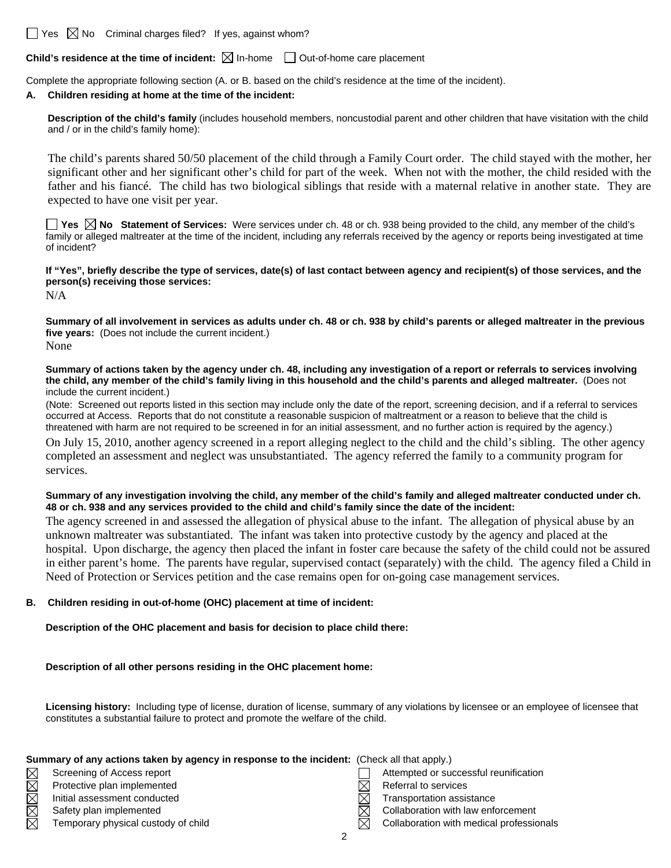$\Box$  Yes  $\boxtimes$  No Criminal charges filed? If yes, against whom?

**Child's residence at the time of incident:**  $\boxtimes$  In-home  $\Box$  Out-of-home care placement

Complete the appropriate following section (A. or B. based on the child's residence at the time of the incident).

#### **A. Children residing at home at the time of the incident:**

**Description of the child's family** (includes household members, noncustodial parent and other children that have visitation with the child and / or in the child's family home):

The child's parents shared 50/50 placement of the child through a Family Court order. The child stayed with the mother, her significant other and her significant other's child for part of the week. When not with the mother, the child resided with the father and his fiancé. The child has two biological siblings that reside with a maternal relative in another state. They are expected to have one visit per year.

**Yes**  $\boxtimes$  **No** Statement of Services: Were services under ch. 48 or ch. 938 being provided to the child, any member of the child's family or alleged maltreater at the time of the incident, including any referrals received by the agency or reports being investigated at time of incident?

**If "Yes", briefly describe the type of services, date(s) of last contact between agency and recipient(s) of those services, and the person(s) receiving those services:** 

N/A

**Summary of all involvement in services as adults under ch. 48 or ch. 938 by child's parents or alleged maltreater in the previous five years:** (Does not include the current incident.) None

**Summary of actions taken by the agency under ch. 48, including any investigation of a report or referrals to services involving the child, any member of the child's family living in this household and the child's parents and alleged maltreater.** (Does not include the current incident.)

(Note: Screened out reports listed in this section may include only the date of the report, screening decision, and if a referral to services occurred at Access. Reports that do not constitute a reasonable suspicion of maltreatment or a reason to believe that the child is threatened with harm are not required to be screened in for an initial assessment, and no further action is required by the agency.)

On July 15, 2010, another agency screened in a report alleging neglect to the child and the child's sibling. The other agency completed an assessment and neglect was unsubstantiated. The agency referred the family to a community program for services.

**Summary of any investigation involving the child, any member of the child's family and alleged maltreater conducted under ch. 48 or ch. 938 and any services provided to the child and child's family since the date of the incident:** 

The agency screened in and assessed the allegation of physical abuse to the infant. The allegation of physical abuse by an unknown maltreater was substantiated. The infant was taken into protective custody by the agency and placed at the hospital. Upon discharge, the agency then placed the infant in foster care because the safety of the child could not be assured in either parent's home. The parents have regular, supervised contact (separately) with the child. The agency filed a Child in Need of Protection or Services petition and the case remains open for on-going case management services.

#### **B. Children residing in out-of-home (OHC) placement at time of incident:**

**Description of the OHC placement and basis for decision to place child there:**

**Description of all other persons residing in the OHC placement home:**

**Licensing history:** Including type of license, duration of license, summary of any violations by licensee or an employee of licensee that constitutes a substantial failure to protect and promote the welfare of the child.

| Summary of any actions taken by agency in response to the incident: (Check all that apply.) |                                     |  |                                          |  |  |  |
|---------------------------------------------------------------------------------------------|-------------------------------------|--|------------------------------------------|--|--|--|
| $\boxtimes$                                                                                 | Screening of Access report          |  | Attempted or successful reunification    |  |  |  |
| $\boxtimes$                                                                                 | Protective plan implemented         |  | Referral to services                     |  |  |  |
| $\boxtimes$                                                                                 | Initial assessment conducted        |  | Transportation assistance                |  |  |  |
| $\boxtimes$                                                                                 | Safety plan implemented             |  | Collaboration with law enforcement       |  |  |  |
| $\boxtimes$                                                                                 | Temporary physical custody of child |  | Collaboration with medical professionals |  |  |  |